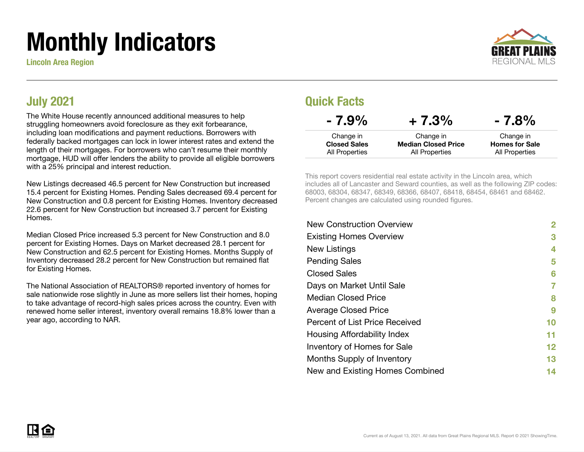# Monthly Indicators

Lincoln Area Region



### July 2021

The White House recently announced additional measures to help struggling homeowners avoid foreclosure as they exit forbearance, including loan modifications and payment reductions. Borrowers with federally backed mortgages can lock in lower interest rates and extend the length of their mortgages. For borrowers who can't resume their monthly mortgage, HUD will offer lenders the ability to provide all eligible borrowers with a 25% principal and interest reduction.

New Listings decreased 46.5 percent for New Construction but increased 15.4 percent for Existing Homes. Pending Sales decreased 69.4 percent for New Construction and 0.8 percent for Existing Homes. Inventory decreased 22.6 percent for New Construction but increased 3.7 percent for Existing **Homes** 

Median Closed Price increased 5.3 percent for New Construction and 8.0 percent for Existing Homes. Days on Market decreased 28.1 percent for New Construction and 62.5 percent for Existing Homes. Months Supply of Inventory decreased 28.2 percent for New Construction but remained flat for Existing Homes.

The National Association of REALTORS® reported inventory of homes for sale nationwide rose slightly in June as more sellers list their homes, hoping to take advantage of record-high sales prices across the country. Even with renewed home seller interest, inventory overall remains 18.8% lower than a year ago, according to NAR.

### Quick Facts

| $-7.9\%$                              | $+7.3%$                                      | $-7.8%$                                 |
|---------------------------------------|----------------------------------------------|-----------------------------------------|
| Change in                             | Change in                                    | Change in                               |
| <b>Closed Sales</b><br>All Properties | <b>Median Closed Price</b><br>All Properties | <b>Homes for Sale</b><br>All Properties |

This report covers residential real estate activity in the Lincoln area, which includes all of Lancaster and Seward counties, as well as the following ZIP codes: 68003, 68304, 68347, 68349, 68366, 68407, 68418, 68454, 68461 and 68462. Percent changes are calculated using rounded figures.

| <b>New Construction Overview</b> | 2  |
|----------------------------------|----|
| <b>Existing Homes Overview</b>   | 3  |
| New Listings                     | 4  |
| <b>Pending Sales</b>             | 5  |
| <b>Closed Sales</b>              | 6  |
| Days on Market Until Sale        |    |
| <b>Median Closed Price</b>       | 8  |
| <b>Average Closed Price</b>      | 9  |
| Percent of List Price Received   | 10 |
| Housing Affordability Index      | 11 |
| Inventory of Homes for Sale      | 12 |
| Months Supply of Inventory       | 13 |
| New and Existing Homes Combined  | 14 |

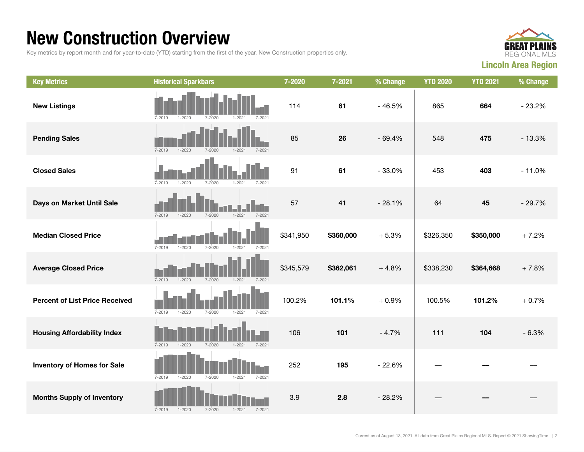### New Construction Overview

Key metrics by report month and for year-to-date (YTD) starting from the first of the year. New Construction properties only.



| <b>Key Metrics</b>                    | <b>Historical Sparkbars</b>                                        | 7-2020    | 7-2021    | % Change | <b>YTD 2020</b> | <b>YTD 2021</b> | % Change |
|---------------------------------------|--------------------------------------------------------------------|-----------|-----------|----------|-----------------|-----------------|----------|
| <b>New Listings</b>                   | $7 - 2021$<br>$7 - 2019$<br>$1 - 2020$<br>$7 - 2020$<br>$1 - 2021$ | 114       | 61        | $-46.5%$ | 865             | 664             | $-23.2%$ |
| <b>Pending Sales</b>                  | $7 - 2019$<br>$1 - 2020$<br>$1 - 2021$<br>$7 - 2020$<br>$7 - 2021$ | 85        | 26        | $-69.4%$ | 548             | 475             | $-13.3%$ |
| <b>Closed Sales</b>                   | $7 - 2019$<br>$1 - 2020$<br>$7 - 2020$<br>$1 - 2021$<br>$7 - 2021$ | 91        | 61        | $-33.0%$ | 453             | 403             | $-11.0%$ |
| Days on Market Until Sale             | $1 - 2021$<br>$7 - 2021$<br>$7 - 2019$<br>$1 - 2020$<br>7-2020     | 57        | 41        | $-28.1%$ | 64              | 45              | $-29.7%$ |
| <b>Median Closed Price</b>            | $7 - 2021$<br>$7 - 2019$<br>$1 - 2020$<br>$7 - 2020$<br>$1 - 2021$ | \$341,950 | \$360,000 | $+5.3%$  | \$326,350       | \$350,000       | $+7.2%$  |
| <b>Average Closed Price</b>           | $7 - 2019$<br>$1 - 2020$<br>$7 - 2020$<br>$1 - 2021$<br>$7 - 2021$ | \$345,579 | \$362,061 | $+4.8%$  | \$338,230       | \$364,668       | $+7.8%$  |
| <b>Percent of List Price Received</b> | $7 - 2019$<br>$1 - 2020$<br>$7 - 2020$<br>$1 - 2021$<br>$7 - 2021$ | 100.2%    | 101.1%    | $+0.9%$  | 100.5%          | 101.2%          | $+0.7%$  |
| <b>Housing Affordability Index</b>    | $7 - 2019$<br>$1 - 2020$<br>$7 - 2020$<br>$1 - 2021$<br>$7 - 2021$ | 106       | 101       | $-4.7%$  | 111             | 104             | $-6.3%$  |
| <b>Inventory of Homes for Sale</b>    | $7 - 2019$<br>$1 - 2020$<br>7-2020<br>$1 - 2021$<br>7-2021         | 252       | 195       | $-22.6%$ |                 |                 |          |
| <b>Months Supply of Inventory</b>     | $1 - 2021$<br>$7 - 2019$<br>$1 - 2020$<br>$7 - 2020$<br>$7 - 2021$ | 3.9       | 2.8       | $-28.2%$ |                 |                 |          |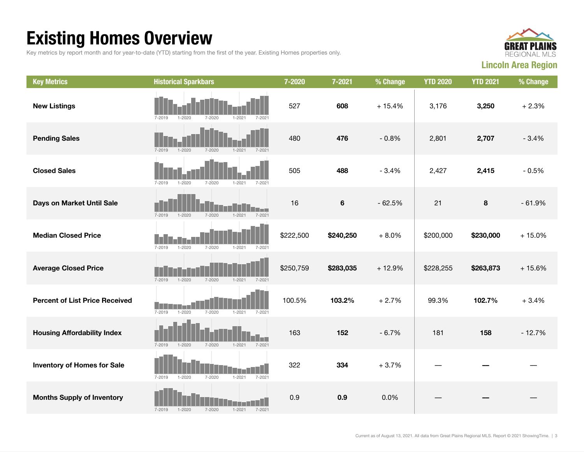## Existing Homes Overview

Key metrics by report month and for year-to-date (YTD) starting from the first of the year. Existing Homes properties only.



| <b>Key Metrics</b>                    | <b>Historical Sparkbars</b>                                        | 7-2020    | 7-2021         | % Change | <b>YTD 2020</b> | <b>YTD 2021</b> | % Change |
|---------------------------------------|--------------------------------------------------------------------|-----------|----------------|----------|-----------------|-----------------|----------|
| <b>New Listings</b>                   | $7 - 2020$<br>$7 - 2019$<br>$1 - 2020$<br>$1 - 2021$<br>$7 - 2021$ | 527       | 608            | $+15.4%$ | 3,176           | 3,250           | $+2.3%$  |
| <b>Pending Sales</b>                  | $7 - 2019$<br>$1 - 2020$<br>$7 - 2020$<br>$1 - 2021$<br>$7 - 2021$ | 480       | 476            | $-0.8%$  | 2,801           | 2,707           | $-3.4%$  |
| <b>Closed Sales</b>                   | $7 - 2019$<br>$1 - 2020$<br>$7 - 2020$<br>$7 - 2021$<br>$1 - 2021$ | 505       | 488            | $-3.4%$  | 2,427           | 2,415           | $-0.5%$  |
| Days on Market Until Sale             | $7 - 2019$<br>$1 - 2020$<br>$7 - 2020$<br>$1 - 2021$<br>$7 - 2021$ | 16        | $6\phantom{1}$ | $-62.5%$ | 21              | 8               | $-61.9%$ |
| <b>Median Closed Price</b>            | $7 - 2019$<br>$1 - 2020$<br>$7 - 2020$<br>$1 - 2021$<br>$7 - 2021$ | \$222,500 | \$240,250      | $+8.0%$  | \$200,000       | \$230,000       | $+15.0%$ |
| <b>Average Closed Price</b>           | $7 - 2019$<br>$1 - 2020$<br>$7 - 2020$<br>$1 - 2021$<br>$7 - 2021$ | \$250,759 | \$283,035      | $+12.9%$ | \$228,255       | \$263,873       | $+15.6%$ |
| <b>Percent of List Price Received</b> | $1 - 2020$<br>$7 - 2019$<br>$7 - 2020$<br>$1 - 2021$<br>$7 - 2021$ | 100.5%    | 103.2%         | $+2.7%$  | 99.3%           | 102.7%          | $+3.4%$  |
| <b>Housing Affordability Index</b>    | $7 - 2019$<br>$1 - 2020$<br>$7 - 2020$<br>$1 - 2021$<br>$7 - 2021$ | 163       | 152            | $-6.7%$  | 181             | 158             | $-12.7%$ |
| <b>Inventory of Homes for Sale</b>    | $7 - 2019$<br>$1 - 2020$<br>$7 - 2020$<br>$1 - 2021$<br>$7 - 2021$ | 322       | 334            | $+3.7%$  |                 |                 |          |
| <b>Months Supply of Inventory</b>     | $7 - 2020$<br>$7 - 2021$<br>$7 - 2019$<br>$1 - 2020$<br>$1 - 2021$ | 0.9       | 0.9            | 0.0%     |                 |                 |          |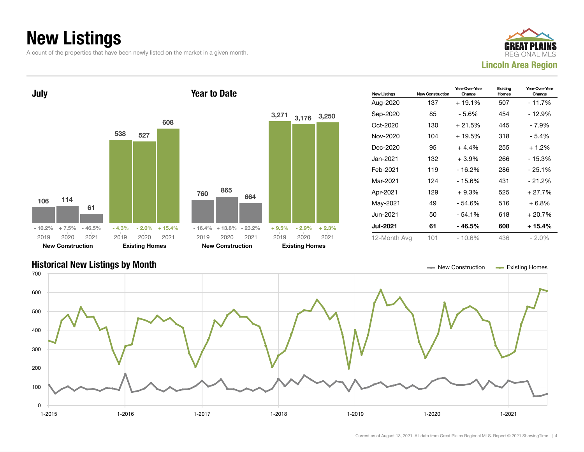## New Listings

A count of the properties that have been newly listed on the market in a given month.





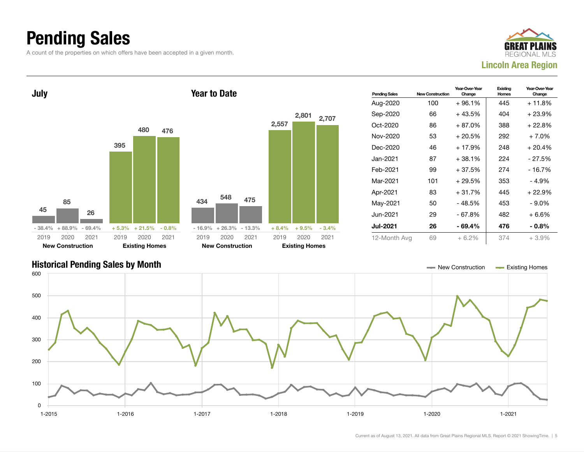### Pending Sales

A count of the properties on which offers have been accepted in a given month.





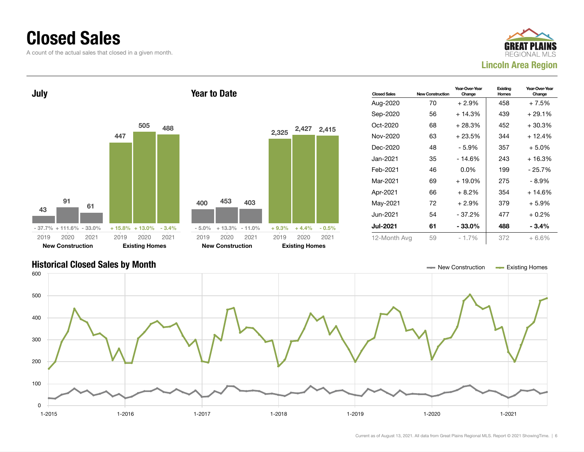### Closed Sales

A count of the actual sales that closed in a given month.





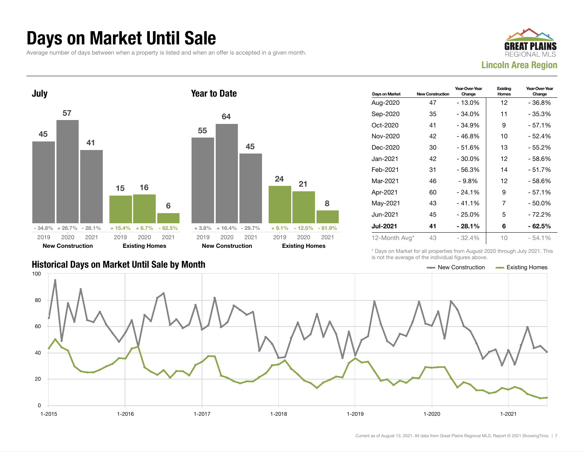### Days on Market Until Sale

Average number of days between when a property is listed and when an offer is accepted in a given month.





### Days on Market New Construction Year-Over-Year Change Existing Homes Year-Over-Year Change Aug-2020 47 - 13.0% 12 - 36.8% Sep-2020 35 - 34.0% 11 - 35.3%  $Oct-2020$  41  $-34.9\%$  9  $-57.1\%$ Nov-2020 42 - 46.8% | 10 - 52.4% Dec-2020 30 - 51.6% 13 - 55.2%  $Jan-2021$  42 - 30.0% 12 - 58.6% Feb-2021 31 - 56.3% 14 - 51.7% Mar-2021 46 - 9.8% 12 - 58.6% Apr-2021 60 - 24.1% 9 - 57.1% May-2021 43 - 41.1% 7 - 50.0% Jun-2021 45 - 25.0% 5 - 72.2% Jul-2021 41 - 28.1% 6 - 62.5% 12-Month Avg\* 43 - 32.4% 10 - 54.1%

\* Days on Market for all properties from August 2020 through July 2021. This is not the average of the individual figures above.



8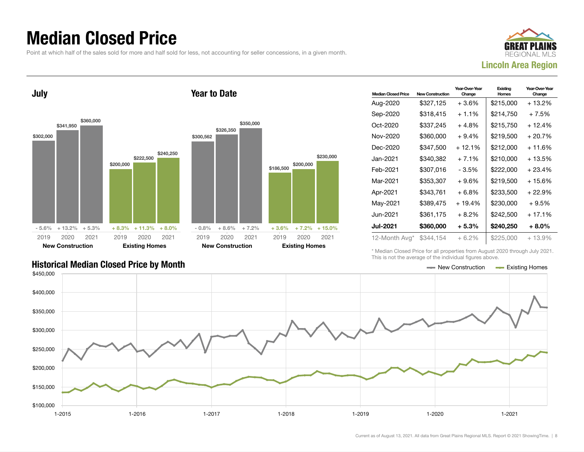### Median Closed Price

Point at which half of the sales sold for more and half sold for less, not accounting for seller concessions, in a given month.



July \$302,000 \$341,950 \$360,000  $-5.6\%$  + 13.2% + 5.3% \$200,000 \$222,500 \$240,250 + 8.3% + 11.3% + 8.0% 2019 New Construction 2020 2021 2019 Existing Homes 2020 2021 Year to Date \$300,562 \$326,350 \$350,000  $-0.8\%$   $+8.6\%$   $+7.2\%$ \$186,500 \$200,000 + 3.6% + 7.2% + 15.0% 2019 New Construction 2020 2021 2019 Existing Homes 2020 2021

| <b>Median Closed Price</b> | <b>New Construction</b> | Year-Over-Year<br>Change | Existing<br>Homes | Year-Over-Year<br>Change |
|----------------------------|-------------------------|--------------------------|-------------------|--------------------------|
| Aug-2020                   | \$327,125               | $+3.6%$                  | \$215,000         | + 13.2%                  |
| Sep-2020                   | \$318,415               | $+1.1%$                  | \$214,750         | $+7.5%$                  |
| Oct-2020                   | \$337,245               | + 4.8%                   | \$215,750         | $+12.4%$                 |
| Nov-2020                   | \$360,000               | + 9.4%                   | \$219,500         | + 20.7%                  |
| Dec-2020                   | \$347,500               | $+12.1%$                 | \$212,000         | + 11.6%                  |
| Jan-2021                   | \$340,382               | $+7.1%$                  | \$210.000         | + 13.5%                  |
| Feb-2021                   | \$307,016               | - 3.5%                   | \$222,000         | $+23.4%$                 |
| Mar-2021                   | \$353,307               | $+9.6%$                  | \$219.500         | + 15.6%                  |
| Apr-2021                   | \$343,761               | + 6.8%                   | \$233,500         | $+22.9%$                 |
| May-2021                   | \$389,475               | $+19.4%$                 | \$230,000         | $+9.5%$                  |
| Jun-2021.                  | \$361,175               | $+8.2\%$                 | \$242,500         | $+17.1%$                 |
| <b>Jul-2021</b>            | \$360,000               | + 5.3%                   | \$240,250         | $+8.0\%$                 |
| 12-Month Avg*              | \$344.154               | $+6.2\%$                 | \$225,000         | $+13.9%$                 |

Historical Median Closed Price by Month **New Construction According Closed Price by Month** New Construction According Homes

\* Median Closed Price for all properties from August 2020 through July 2021. This is not the average of the individual figures above.



\$230,000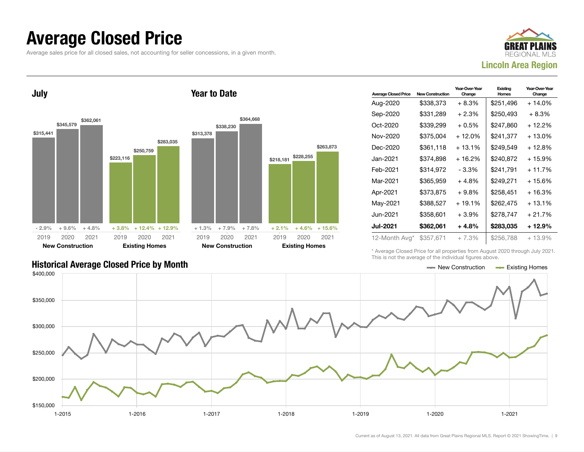### Average Closed Price

Average sales price for all closed sales, not accounting for seller concessions, in a given month.



July \$315,441 \$345,579 \$362,061  $-2.9\%$   $+9.6\%$   $+4.8\%$ \$223,116 \$250,759 \$283,035 + 3.8% + 12.4% + 12.9% 2019 New Construction 2020 2021 2019 Existing Homes 2020 2021 Year to Date \$313,378 \$338,230 \$364,668 + 1.3% + 7.9% + 7.8% \$218,181 \$228,255 \$263,873  $+ 2.1\% + 4.6\% + 15.6\%$ 2019 New Construction 2020 2021 2019 Existing Homes 2020 2021

| <b>Average Closed Price</b> | <b>New Construction</b> | Year-Over-Year<br>Change | Existing<br>Homes | Year-Over-Year<br>Change |
|-----------------------------|-------------------------|--------------------------|-------------------|--------------------------|
| Aug-2020                    | \$338,373               | + 8.3%                   | \$251,496         | $+14.0\%$                |
| Sep-2020                    | \$331,289               | + 2.3%                   | \$250,493         | $+8.3%$                  |
| Oct-2020                    | \$339,299               | $+0.5%$                  | \$247,860         | + 12.2%                  |
| Nov-2020                    | \$375,004               | + 12.0%                  | \$241,377         | + 13.0%                  |
| Dec-2020                    | \$361,118               | $+13.1\%$                | \$249.549         | + 12.8%                  |
| Jan-2021                    | \$374.898               | $+16.2%$                 | \$240,872         | + 15.9%                  |
| Feb-2021                    | \$314,972               | - 3.3%                   | \$241,791         | $+11.7%$                 |
| Mar-2021                    | \$365,959               | + 4.8%                   | \$249,271         | + 15.6%                  |
| Apr-2021                    | \$373,875               | + 9.8%                   | \$258,451         | + 16.3%                  |
| May-2021                    | \$388,527               | $+19.1%$                 | \$262.475         | $+13.1%$                 |
| Jun-2021.                   | \$358,601               | $+3.9\%$                 | \$278,747         | $+21.7%$                 |
| <b>Jul-2021</b>             | \$362,061               | + 4.8%                   | \$283,035         | $+12.9%$                 |
| 12-Month Avg*               | \$357,671               | $+7.3%$                  | \$256,788         | $+13.9%$                 |

\* Average Closed Price for all properties from August 2020 through July 2021. This is not the average of the individual figures above.

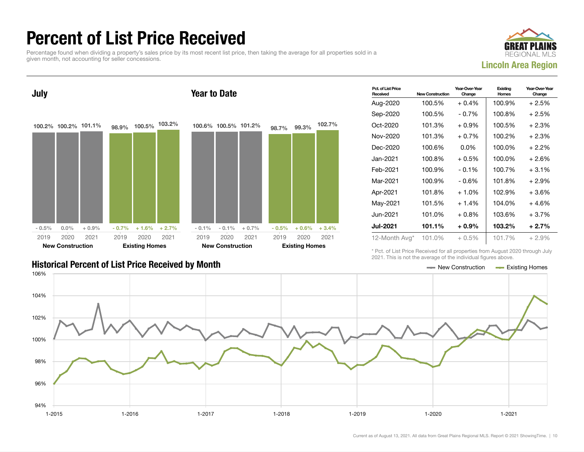### Percent of List Price Received

Percentage found when dividing a property's sales price by its most recent list price, then taking the average for all properties sold in a given month, not accounting for seller concessions.





| Pct. of List Price<br>Received | <b>New Construction</b> | Year-Over-Year<br>Change | Existing<br>Homes | Year-Over-Year<br>Change |
|--------------------------------|-------------------------|--------------------------|-------------------|--------------------------|
| Aug-2020                       | 100.5%                  | $+0.4\%$                 | 100.9%            | $+2.5%$                  |
| Sep-2020                       | 100.5%                  | $-0.7\%$                 | 100.8%            | $+2.5%$                  |
| Oct-2020                       | 101.3%                  | $+0.9\%$                 | 100.5%            | $+2.3%$                  |
| Nov-2020                       | 101.3%                  | $+0.7\%$                 | 100.2%            | $+2.3%$                  |
| Dec-2020                       | 100.6%                  | $0.0\%$                  | 100.0%            | $+2.2\%$                 |
| Jan-2021.                      | 100.8%                  | $+0.5%$                  | 100.0%            | $+2.6%$                  |
| Feb-2021                       | 100.9%                  | $-0.1\%$                 | 100.7%            | $+3.1%$                  |
| Mar-2021                       | 100.9%                  | $-0.6%$                  | 101.8%            | $+2.9%$                  |
| Apr-2021                       | 101.8%                  | $+1.0\%$                 | 102.9%            | $+3.6%$                  |
| May-2021                       | 101.5%                  | $+1.4%$                  | 104.0%            | $+4.6%$                  |
| Jun-2021.                      | 101.0%                  | $+0.8\%$                 | 103.6%            | $+3.7%$                  |
| <b>Jul-2021</b>                | 101.1%                  | $+0.9\%$                 | 103.2%            | $+2.7%$                  |
| 12-Month Avg*                  | 101.0%                  | $+0.5%$                  | 101.7%            | $+2.9%$                  |

\* Pct. of List Price Received for all properties from August 2020 through July 2021. This is not the average of the individual figures above.

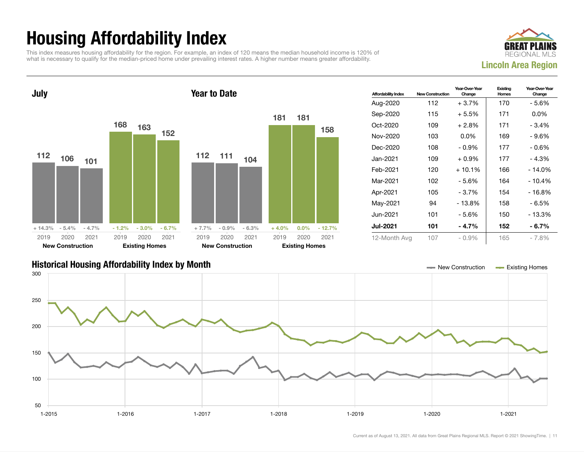## Housing Affordability Index

This index measures housing affordability for the region. For example, an index of 120 means the median household income is 120% of what is necessary to qualify for the median-priced home under prevailing interest rates. A higher number means greater affordability.





| <b>Affordability Index</b> | <b>New Construction</b> | Year-Over-Year<br>Change | Existing<br>Homes | Year-Over-Year<br>Change |
|----------------------------|-------------------------|--------------------------|-------------------|--------------------------|
| Aug-2020                   | 112                     | $+3.7\%$                 | 170               | - 5.6%                   |
| Sep-2020                   | 115                     | $+5.5%$                  | 171               | $0.0\%$                  |
| Oct-2020                   | 109                     | $+2.8\%$                 | 171               | $-3.4%$                  |
| Nov-2020                   | 103                     | $0.0\%$                  | 169               | - 9.6%                   |
| Dec-2020                   | 108                     | $-0.9%$                  | 177               | $-0.6%$                  |
| Jan-2021.                  | 109                     | $+0.9\%$                 | 177               | - 4.3%                   |
| Feb-2021                   | 120                     | $+10.1%$                 | 166               | $-14.0%$                 |
| Mar-2021                   | 102                     | - 5.6%                   | 164               | $-10.4%$                 |
| Apr-2021                   | 105                     | - 3.7%                   | 154               | - 16.8%                  |
| May-2021                   | 94                      | $-13.8%$                 | 158               | - 6.5%                   |
| Jun-2021                   | 101                     | - 5.6%                   | 150               | - 13.3%                  |
| <b>Jul-2021</b>            | 101                     | - 4.7%                   | 152               | $-6.7\%$                 |
| 12-Month Avg               | 107                     | $-0.9\%$                 | 165               | $-7.8%$                  |

### Historical Housing Affordability Index by Month New Construction Existing Homes

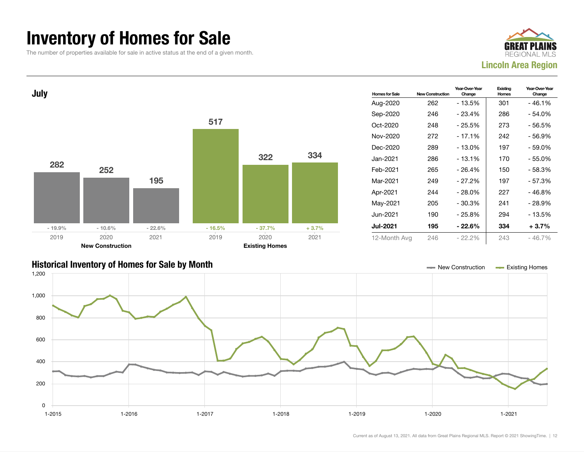### Inventory of Homes for Sale

The number of properties available for sale in active status at the end of a given month.





### Historical Inventory of Homes for Sale by Month New Construction Existing Homes

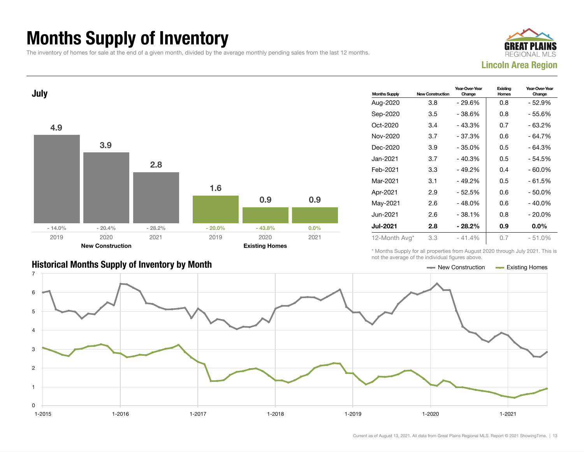## Months Supply of Inventory

The inventory of homes for sale at the end of a given month, divided by the average monthly pending sales from the last 12 months.





|                                                       | TIOL the average of the individual liqures above. |                  |
|-------------------------------------------------------|---------------------------------------------------|------------------|
| <b>Historical Months Supply of Inventory by Month</b> | — New Construction                                | - Existing Homes |

| <b>Months Supply</b> | <b>New Construction</b> | Year-Over-Year<br>Change | Existing<br>Homes | Year-Over-Year<br>Change |
|----------------------|-------------------------|--------------------------|-------------------|--------------------------|
| Aug-2020             | 3.8                     | $-29.6%$                 | 0.8               | - 52.9%                  |
| Sep-2020             | 3.5                     | - 38.6%                  | 0.8               | - 55.6%                  |
| Oct-2020             | 3.4                     | $-43.3%$                 | 0.7               | - 63.2%                  |
| Nov-2020             | 3.7                     | $-37.3%$                 | 0.6               | - 64.7%                  |
| Dec-2020             | 3.9                     | $-35.0%$                 | 0.5               | $-64.3%$                 |
| Jan-2021             | 3.7                     | $-40.3%$                 | 0.5               | - 54.5%                  |
| Feb-2021             | 3.3                     | $-49.2%$                 | 0.4               | $-60.0\%$                |
| Mar-2021             | 3.1                     | $-49.2%$                 | 0.5               | - 61.5%                  |
| Apr-2021             | 2.9                     | - 52.5%                  | 0.6               | - 50.0%                  |
| May-2021             | 2.6                     | $-48.0%$                 | 0.6               | $-40.0\%$                |
| Jun-2021.            | 2.6                     | $-38.1%$                 | 0.8               | - 20.0%                  |
| <b>Jul-2021</b>      | 2.8                     | $-28.2\%$                | 0.9               | $0.0\%$                  |
| 12-Month Avg*        | 3.3                     | $-41.4%$                 | 0.7               | $-51.0%$                 |

\* Months Supply for all properties from August 2020 through July 2021. This is not the average of the individual figures above.